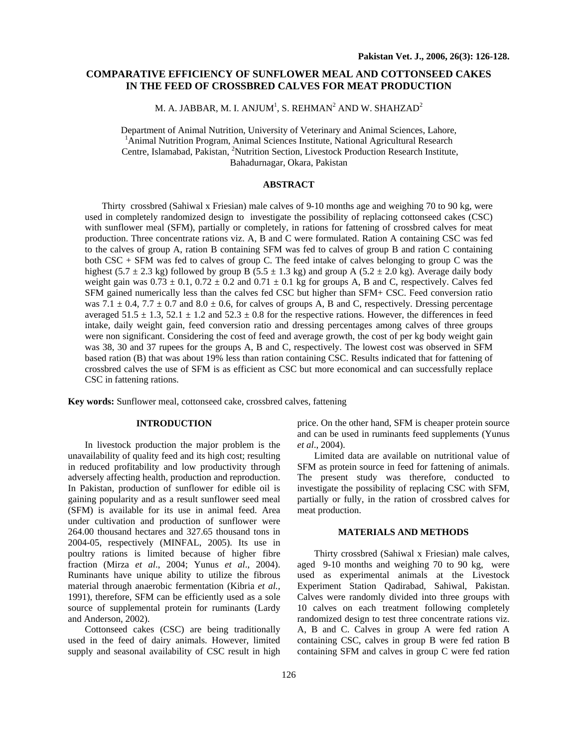# **COMPARATIVE EFFICIENCY OF SUNFLOWER MEAL AND COTTONSEED CAKES IN THE FEED OF CROSSBRED CALVES FOR MEAT PRODUCTION**

M. A. JABBAR, M. I. ANJUM $^{\rm l}$ , S. REHMAN $^{\rm 2}$  AND W. SHAHZAD $^{\rm 2}$ 

Department of Animal Nutrition, University of Veterinary and Animal Sciences, Lahore, <sup>1</sup> Animal Nutrition Program, Animal Sciences Institute, National Agricultural Research Centre, Islamabad, Pakistan, 2 Nutrition Section, Livestock Production Research Institute, Bahadurnagar, Okara, Pakistan

# **ABSTRACT**

Thirty crossbred (Sahiwal x Friesian) male calves of 9-10 months age and weighing 70 to 90 kg, were used in completely randomized design to investigate the possibility of replacing cottonseed cakes (CSC) with sunflower meal (SFM), partially or completely, in rations for fattening of crossbred calves for meat production. Three concentrate rations viz. A, B and C were formulated. Ration A containing CSC was fed to the calves of group A, ration B containing SFM was fed to calves of group B and ration C containing both CSC + SFM was fed to calves of group C. The feed intake of calves belonging to group C was the highest (5.7  $\pm$  2.3 kg) followed by group B (5.5  $\pm$  1.3 kg) and group A (5.2  $\pm$  2.0 kg). Average daily body weight gain was  $0.73 \pm 0.1$ ,  $0.72 \pm 0.2$  and  $0.71 \pm 0.1$  kg for groups A, B and C, respectively. Calves fed SFM gained numerically less than the calves fed CSC but higher than SFM+ CSC. Feed conversion ratio was 7.1  $\pm$  0.4, 7.7  $\pm$  0.7 and 8.0  $\pm$  0.6, for calves of groups A, B and C, respectively. Dressing percentage averaged  $51.5 \pm 1.3$ ,  $52.1 \pm 1.2$  and  $52.3 \pm 0.8$  for the respective rations. However, the differences in feed intake, daily weight gain, feed conversion ratio and dressing percentages among calves of three groups were non significant. Considering the cost of feed and average growth, the cost of per kg body weight gain was 38, 30 and 37 rupees for the groups A, B and C, respectively. The lowest cost was observed in SFM based ration (B) that was about 19% less than ration containing CSC. Results indicated that for fattening of crossbred calves the use of SFM is as efficient as CSC but more economical and can successfully replace CSC in fattening rations.

**Key words:** Sunflower meal, cottonseed cake, crossbred calves, fattening

## **INTRODUCTION**

In livestock production the major problem is the unavailability of quality feed and its high cost; resulting in reduced profitability and low productivity through adversely affecting health, production and reproduction. In Pakistan, production of sunflower for edible oil is gaining popularity and as a result sunflower seed meal (SFM) is available for its use in animal feed. Area under cultivation and production of sunflower were 264.00 thousand hectares and 327.65 thousand tons in 2004-05, respectively (MINFAL, 2005). Its use in poultry rations is limited because of higher fibre fraction (Mirza *et al*., 2004; Yunus *et al*., 2004). Ruminants have unique ability to utilize the fibrous material through anaerobic fermentation (Kibria *et al.,* 1991), therefore, SFM can be efficiently used as a sole source of supplemental protein for ruminants (Lardy and Anderson, 2002).

Cottonseed cakes (CSC) are being traditionally used in the feed of dairy animals. However, limited supply and seasonal availability of CSC result in high

price. On the other hand, SFM is cheaper protein source and can be used in ruminants feed supplements (Yunus *et al*., 2004).

Limited data are available on nutritional value of SFM as protein source in feed for fattening of animals. The present study was therefore, conducted to investigate the possibility of replacing CSC with SFM, partially or fully, in the ration of crossbred calves for meat production.

### **MATERIALS AND METHODS**

Thirty crossbred (Sahiwal x Friesian) male calves, aged 9-10 months and weighing 70 to 90 kg, were used as experimental animals at the Livestock Experiment Station Qadirabad, Sahiwal, Pakistan. Calves were randomly divided into three groups with 10 calves on each treatment following completely randomized design to test three concentrate rations viz. A, B and C. Calves in group A were fed ration A containing CSC, calves in group B were fed ration B containing SFM and calves in group C were fed ration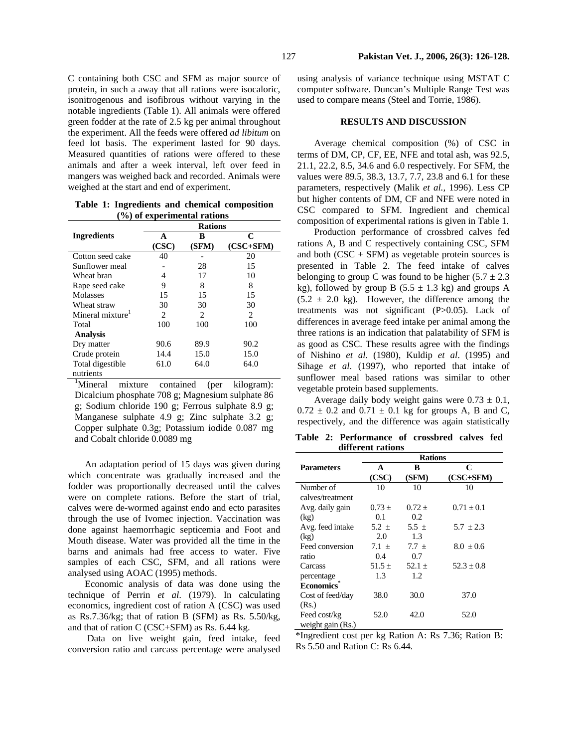C containing both CSC and SFM as major source of protein, in such a away that all rations were isocaloric, isonitrogenous and isofibrous without varying in the notable ingredients (Table 1). All animals were offered green fodder at the rate of 2.5 kg per animal throughout the experiment. All the feeds were offered *ad libitum* on feed lot basis. The experiment lasted for 90 days. Measured quantities of rations were offered to these animals and after a week interval, left over feed in mangers was weighed back and recorded. Animals were weighed at the start and end of experiment.

**Table 1: Ingredients and chemical composition (%) of experimental rations** 

|                              | <b>Rations</b> |                             |                               |
|------------------------------|----------------|-----------------------------|-------------------------------|
| <b>Ingredients</b>           | A              | в                           | C                             |
|                              | (CSC)          | (SFM)                       | $(CSC+SFM)$                   |
| Cotton seed cake             | 40             |                             | 20                            |
| Sunflower meal               |                | 28                          | 15                            |
| Wheat bran                   | 4              | 17                          | 10                            |
| Rape seed cake               | 9              | 8                           | 8                             |
| Molasses                     | 15             | 15                          | 15                            |
| Wheat straw                  | 30             | 30                          | 30                            |
| Mineral mixture <sup>1</sup> | 2              | $\mathcal{D}_{\mathcal{L}}$ | $\mathfrak{D}_{\mathfrak{p}}$ |
| Total                        | 100            | 100                         | 100                           |
| <b>Analysis</b>              |                |                             |                               |
| Dry matter                   | 90.6           | 89.9                        | 90.2                          |
| Crude protein                | 14.4           | 15.0                        | 15.0                          |
| Total digestible             | 61.0           | 64.0                        | 64.0                          |
| nutrients                    |                |                             |                               |

<sup>1</sup>Mineral mixture contained (per kilogram): Dicalcium phosphate 708 g; Magnesium sulphate 86 g; Sodium chloride 190 g; Ferrous sulphate 8.9 g; Manganese sulphate 4.9 g; Zinc sulphate 3.2 g; Copper sulphate 0.3g; Potassium iodide 0.087 mg and Cobalt chloride 0.0089 mg **Table 2: Performance of crossbred calves fed** 

An adaptation period of 15 days was given during which concentrate was gradually increased and the fodder was proportionally decreased until the calves were on complete rations. Before the start of trial, calves were de-wormed against endo and ecto parasites through the use of Ivomec injection. Vaccination was done against haemorrhagic septicemia and Foot and Mouth disease. Water was provided all the time in the barns and animals had free access to water. Five samples of each CSC, SFM, and all rations were analysed using AOAC (1995) methods.

Economic analysis of data was done using the technique of Perrin *et al*. (1979). In calculating economics, ingredient cost of ration A (CSC) was used as Rs.7.36/kg; that of ration B (SFM) as Rs. 5.50/kg, and that of ration C (CSC+SFM) as Rs. 6.44 kg.

Data on live weight gain, feed intake, feed conversion ratio and carcass percentage were analysed

using analysis of variance technique using MSTAT C computer software. Duncan's Multiple Range Test was used to compare means (Steel and Torrie, 1986).

#### **RESULTS AND DISCUSSION**

Average chemical composition (%) of CSC in terms of DM, CP, CF, EE, NFE and total ash, was 92.5, 21.1, 22.2, 8.5, 34.6 and 6.0 respectively. For SFM, the values were 89.5, 38.3, 13.7, 7.7, 23.8 and 6.1 for these parameters, respectively (Malik *et al.,* 1996). Less CP but higher contents of DM, CF and NFE were noted in CSC compared to SFM. Ingredient and chemical composition of experimental rations is given in Table 1.

Production performance of crossbred calves fed rations A, B and C respectively containing CSC, SFM and both  $(CSC + SFM)$  as vegetable protein sources is presented in Table 2. The feed intake of calves belonging to group C was found to be higher  $(5.7 \pm 2.3)$ kg), followed by group B (5.5  $\pm$  1.3 kg) and groups A  $(5.2 \pm 2.0 \text{ kg})$ . However, the difference among the treatments was not significant (P>0.05). Lack of differences in average feed intake per animal among the three rations is an indication that palatability of SFM is as good as CSC. These results agree with the findings of Nishino *et al*. (1980), Kuldip *et al*. (1995) and Sihage *et al*. (1997), who reported that intake of sunflower meal based rations was similar to other vegetable protein based supplements.

Average daily body weight gains were  $0.73 \pm 0.1$ ,  $0.72 \pm 0.2$  and  $0.71 \pm 0.1$  kg for groups A, B and C, respectively, and the difference was again statistically

**different rations** 

|                   | <b>Rations</b> |            |                |  |
|-------------------|----------------|------------|----------------|--|
| <b>Parameters</b> | A              | B          | C              |  |
|                   | (CSC)          | (SFM)      | (CSC+SFM)      |  |
| Number of         | 10             | 10         | 10             |  |
| calves/treatment  |                |            |                |  |
| Avg. daily gain   | $0.73 +$       | $0.72 +$   | $0.71 \pm 0.1$ |  |
| (kg)              | 0.1            | 0.2        |                |  |
| Avg. feed intake  | $5.2 \pm$      | 5.5 $\pm$  | $5.7 \pm 2.3$  |  |
| (kg)              | 2.0            | 1.3        |                |  |
| Feed conversion   | $7.1 +$        | $7.7 +$    | $8.0 + 0.6$    |  |
| ratio             | 0.4            | 0.7        |                |  |
| Carcass           | $51.5 \pm$     | $52.1 \pm$ | $52.3 + 0.8$   |  |
| percentage        | 1.3            | 1.2        |                |  |
| <b>Economics</b>  |                |            |                |  |
| Cost of feed/day  | 38.0           | 30.0       | 37.0           |  |
| (Rs.)             |                |            |                |  |
| Feed cost/kg      | 52.0           | 42.0       | 52.0           |  |
| weight gain (Rs.) |                |            |                |  |

\*Ingredient cost per kg Ration A: Rs 7.36; Ration B: Rs 5.50 and Ration C: Rs 6.44.